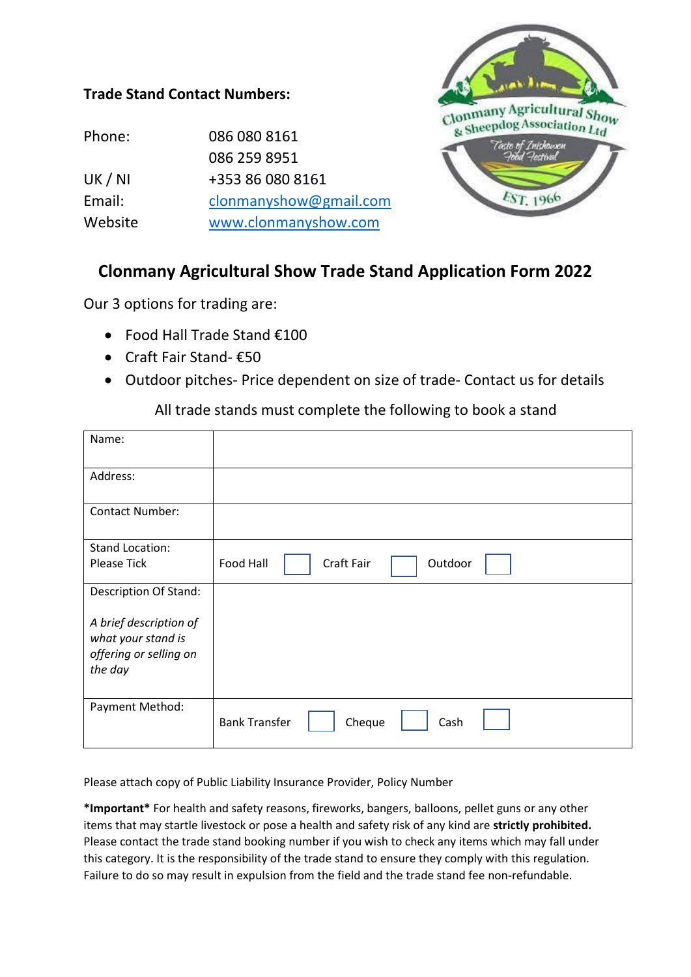## **Trade Stand Contact Numbers:**

| Phone:  | 086 080 8161           |
|---------|------------------------|
|         | 086 259 8951           |
| UK / NI | +353 86 080 8161       |
| Email:  | clonmanyshow@gmail.com |
| Website | www.clonmanyshow.com   |



## **Clonmany Agricultural Show Trade Stand Application Form 2022**

Our 3 options for trading are:

- Food Hall Trade Stand €100
- Craft Fair Stand- €50
- Outdoor pitches- Price dependent on size of trade- Contact us for details

Name: Address: Contact Number: Stand Location: Please Tick Food Hall | Craft Fair | Outdoor Description Of Stand: *A brief description of what your stand is offering or selling on the day*  Payment Method: Bank Transfer  $\parallel$   $\parallel$  Cheque  $\parallel$  Cash

All trade stands must complete the following to book a stand

Please attach copy of Public Liability Insurance Provider, Policy Number

**\*Important\*** For health and safety reasons, fireworks, bangers, balloons, pellet guns or any other items that may startle livestock or pose a health and safety risk of any kind are **strictly prohibited.** Please contact the trade stand booking number if you wish to check any items which may fall under this category. It is the responsibility of the trade stand to ensure they comply with this regulation. Failure to do so may result in expulsion from the field and the trade stand fee non-refundable.